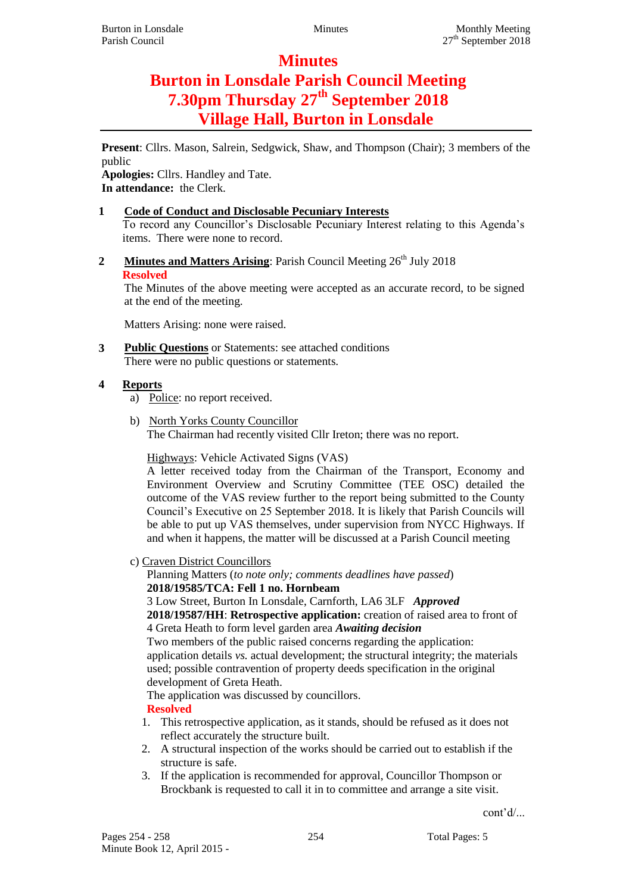# **Minutes**

# **Burton in Lonsdale Parish Council Meeting 7.30pm Thursday 27th September 2018 Village Hall, Burton in Lonsdale**

**Present**: Cllrs. Mason, Salrein, Sedgwick, Shaw, and Thompson (Chair); 3 members of the public

**Apologies:** Cllrs. Handley and Tate. **In attendance:** the Clerk.

- **1 Code of Conduct and Disclosable Pecuniary Interests** To record any Councillor's Disclosable Pecuniary Interest relating to this Agenda's items. There were none to record.
- **2 Minutes and Matters Arising**: Parish Council Meeting 26<sup>th</sup> July 2018 **Resolved**

The Minutes of the above meeting were accepted as an accurate record, to be signed at the end of the meeting.

Matters Arising: none were raised.

**3 Public Questions** or Statements: see attached conditions There were no public questions or statements.

## **4 Reports**

- a) Police: no report received.
- b) North Yorks County Councillor The Chairman had recently visited Cllr Ireton; there was no report.

Highways: Vehicle Activated Signs (VAS)

A letter received today from the Chairman of the Transport, Economy and Environment Overview and Scrutiny Committee (TEE OSC) detailed the outcome of the VAS review further to the report being submitted to the County Council's Executive on 25 September 2018. It is likely that Parish Councils will be able to put up VAS themselves, under supervision from NYCC Highways. If and when it happens, the matter will be discussed at a Parish Council meeting

c) Craven District Councillors

Planning Matters (*to note only; comments deadlines have passed*) **2018/19585/TCA: Fell 1 no. Hornbeam**

3 Low Street, Burton In Lonsdale, Carnforth, LA6 3LF *Approved* **2018/19587/HH**: **Retrospective application:** creation of raised area to front of 4 Greta Heath to form level garden area *Awaiting decision*

Two members of the public raised concerns regarding the application: application details *vs.* actual development; the structural integrity; the materials used; possible contravention of property deeds specification in the original development of Greta Heath.

The application was discussed by councillors.

## **Resolved**

- 1. This retrospective application, as it stands, should be refused as it does not reflect accurately the structure built.
- 2. A structural inspection of the works should be carried out to establish if the structure is safe.
- 3. If the application is recommended for approval, Councillor Thompson or Brockbank is requested to call it in to committee and arrange a site visit.

cont'd/...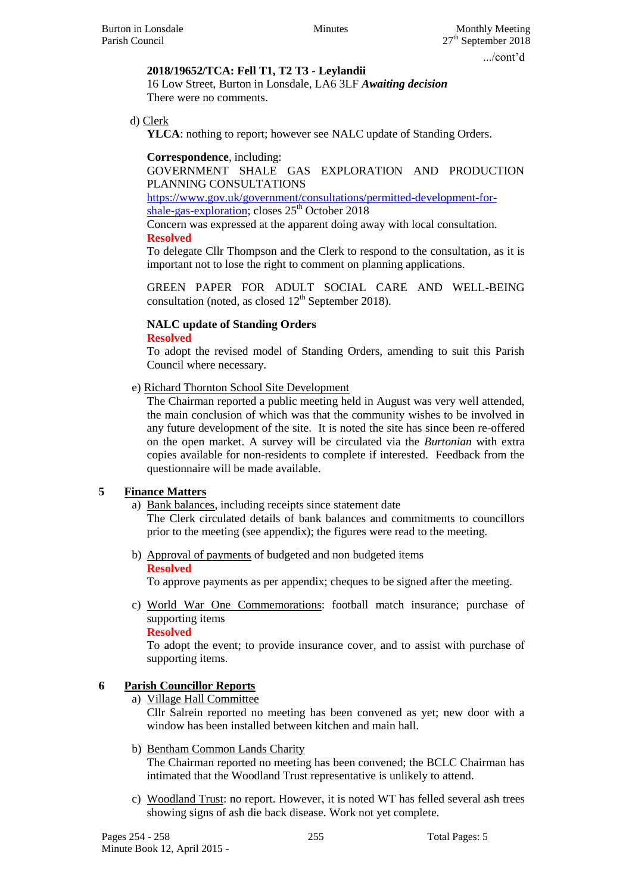#### **2018/19652/TCA: Fell T1, T2 T3 - Leylandii**

16 Low Street, Burton in Lonsdale, LA6 3LF *Awaiting decision* There were no comments.

d) Clerk

**YLCA**: nothing to report; however see NALC update of Standing Orders.

**Correspondence**, including:

GOVERNMENT SHALE GAS EXPLORATION AND PRODUCTION PLANNING CONSULTATIONS

[https://www.gov.uk/government/consultations/permitted-development-for](https://www.gov.uk/government/consultations/permitted-development-for-shale-gas-exploration)[shale-gas-exploration;](https://www.gov.uk/government/consultations/permitted-development-for-shale-gas-exploration) closes  $25<sup>th</sup>$  October 2018

Concern was expressed at the apparent doing away with local consultation. **Resolved**

To delegate Cllr Thompson and the Clerk to respond to the consultation, as it is important not to lose the right to comment on planning applications.

GREEN PAPER FOR ADULT SOCIAL CARE AND WELL-BEING consultation (noted, as closed  $12<sup>th</sup>$  September 2018).

#### **NALC update of Standing Orders Resolved**

To adopt the revised model of Standing Orders, amending to suit this Parish Council where necessary.

e) Richard Thornton School Site Development

The Chairman reported a public meeting held in August was very well attended, the main conclusion of which was that the community wishes to be involved in any future development of the site. It is noted the site has since been re-offered on the open market. A survey will be circulated via the *Burtonian* with extra copies available for non-residents to complete if interested. Feedback from the questionnaire will be made available.

### **5 Finance Matters**

#### a) Bank balances, including receipts since statement date The Clerk circulated details of bank balances and commitments to councillors prior to the meeting (see appendix); the figures were read to the meeting.

b) Approval of payments of budgeted and non budgeted items **Resolved**

To approve payments as per appendix; cheques to be signed after the meeting.

c) World War One Commemorations: football match insurance; purchase of supporting items

**Resolved**

To adopt the event; to provide insurance cover, and to assist with purchase of supporting items.

### **6 Parish Councillor Reports**

a) Village Hall Committee

Cllr Salrein reported no meeting has been convened as yet; new door with a window has been installed between kitchen and main hall.

- b) Bentham Common Lands Charity The Chairman reported no meeting has been convened; the BCLC Chairman has intimated that the Woodland Trust representative is unlikely to attend.
- c) Woodland Trust: no report. However, it is noted WT has felled several ash trees showing signs of ash die back disease. Work not yet complete.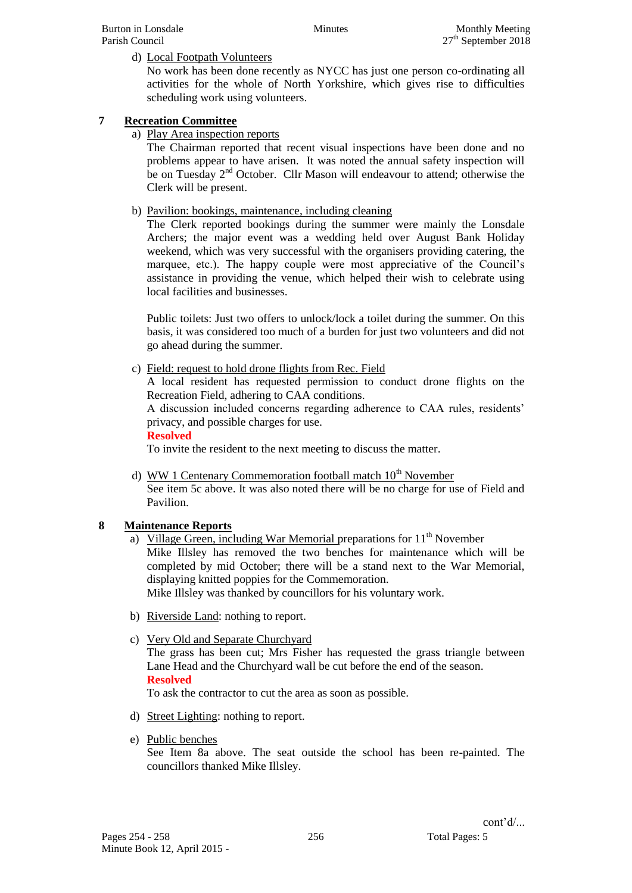#### d) Local Footpath Volunteers

No work has been done recently as NYCC has just one person co-ordinating all activities for the whole of North Yorkshire, which gives rise to difficulties scheduling work using volunteers.

### **7 Recreation Committee**

a) Play Area inspection reports

The Chairman reported that recent visual inspections have been done and no problems appear to have arisen. It was noted the annual safety inspection will be on Tuesday 2<sup>nd</sup> October. Cllr Mason will endeavour to attend; otherwise the Clerk will be present.

b) Pavilion: bookings, maintenance, including cleaning

The Clerk reported bookings during the summer were mainly the Lonsdale Archers; the major event was a wedding held over August Bank Holiday weekend, which was very successful with the organisers providing catering, the marquee, etc.). The happy couple were most appreciative of the Council's assistance in providing the venue, which helped their wish to celebrate using local facilities and businesses.

Public toilets: Just two offers to unlock/lock a toilet during the summer. On this basis, it was considered too much of a burden for just two volunteers and did not go ahead during the summer.

c) Field: request to hold drone flights from Rec. Field

A local resident has requested permission to conduct drone flights on the Recreation Field, adhering to CAA conditions.

A discussion included concerns regarding adherence to CAA rules, residents' privacy, and possible charges for use.

**Resolved**

To invite the resident to the next meeting to discuss the matter.

d) WW 1 Centenary Commemoration football match  $10<sup>th</sup>$  November See item 5c above. It was also noted there will be no charge for use of Field and Pavilion.

### **8 Maintenance Reports**

- a) Village Green, including War Memorial preparations for  $11<sup>th</sup>$  November Mike Illsley has removed the two benches for maintenance which will be completed by mid October; there will be a stand next to the War Memorial, displaying knitted poppies for the Commemoration. Mike Illsley was thanked by councillors for his voluntary work.
- b) Riverside Land: nothing to report.
- c) Very Old and Separate Churchyard

The grass has been cut; Mrs Fisher has requested the grass triangle between Lane Head and the Churchyard wall be cut before the end of the season. **Resolved**

To ask the contractor to cut the area as soon as possible.

- d) Street Lighting: nothing to report.
- e) Public benches

See Item 8a above. The seat outside the school has been re-painted. The councillors thanked Mike Illsley.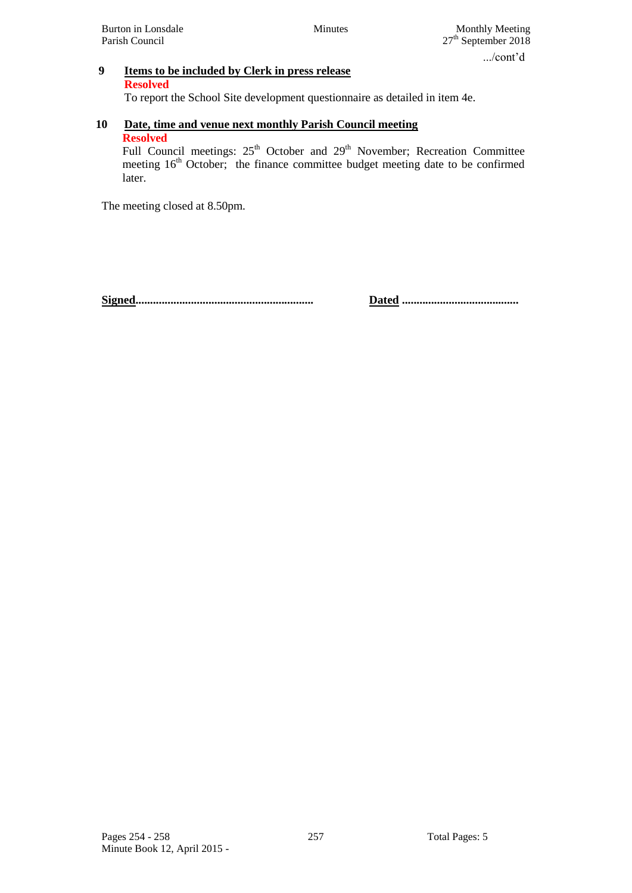# **9 Items to be included by Clerk in press release**

#### **Resolved**

To report the School Site development questionnaire as detailed in item 4e.

#### **10 Date, time and venue next monthly Parish Council meeting Resolved**

Full Council meetings: 25<sup>th</sup> October and 29<sup>th</sup> November; Recreation Committee meeting  $16<sup>th</sup>$  October; the finance committee budget meeting date to be confirmed later.

The meeting closed at 8.50pm.

**Signed............................................................. Dated ........................................**